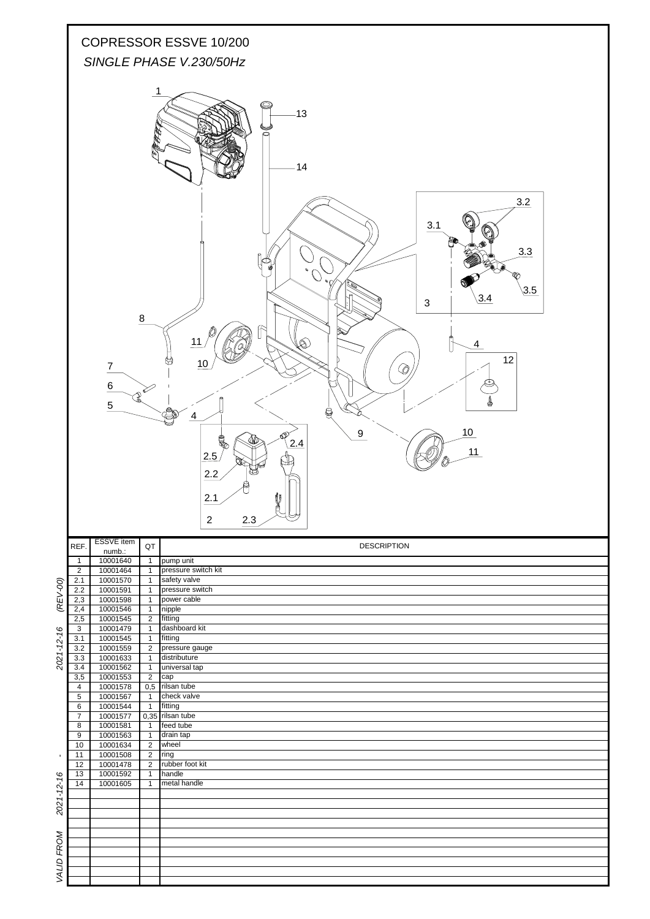